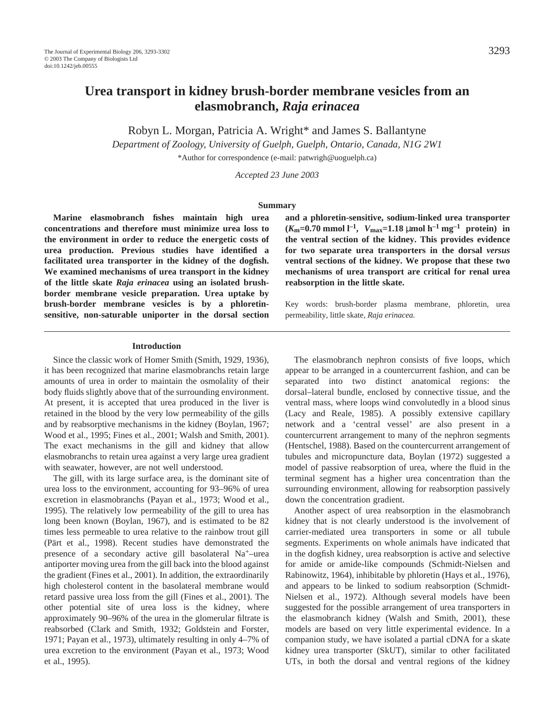# **Urea transport in kidney brush-border membrane vesicles from an elasmobranch,** *Raja erinacea*

Robyn L. Morgan, Patricia A. Wright\* and James S. Ballantyne

*Department of Zoology, University of Guelph, Guelph, Ontario, Canada, N1G 2W1*

\*Author for correspondence (e-mail: patwrigh@uoguelph.ca)

*Accepted 23 June 2003*

#### **Summary**

**Marine elasmobranch fishes maintain high urea concentrations and therefore must minimize urea loss to the environment in order to reduce the energetic costs of urea production. Previous studies have identified a facilitated urea transporter in the kidney of the dogfish. We examined mechanisms of urea transport in the kidney of the little skate** *Raja erinacea* **using an isolated brushborder membrane vesicle preparation. Urea uptake by brush-border membrane vesicles is by a phloretinsensitive, non-saturable uniporter in the dorsal section** **and a phloretin-sensitive, sodium-linked urea transporter**  $(K_m=0.70 \text{ mmol } l^{-1}, V_{\text{max}}=1.18 \text{ }\mu\text{mol } h^{-1} \text{ mg}^{-1} \text{ protein}) \text{ in}$ **the ventral section of the kidney. This provides evidence for two separate urea transporters in the dorsal** *versus* **ventral sections of the kidney. We propose that these two mechanisms of urea transport are critical for renal urea reabsorption in the little skate.**

Key words: brush-border plasma membrane, phloretin, urea permeability, little skate, *Raja erinacea.*

#### **Introduction**

Since the classic work of Homer Smith (Smith, 1929, 1936), it has been recognized that marine elasmobranchs retain large amounts of urea in order to maintain the osmolality of their body fluids slightly above that of the surrounding environment. At present, it is accepted that urea produced in the liver is retained in the blood by the very low permeability of the gills and by reabsorptive mechanisms in the kidney (Boylan, 1967; Wood et al., 1995; Fines et al., 2001; Walsh and Smith, 2001). The exact mechanisms in the gill and kidney that allow elasmobranchs to retain urea against a very large urea gradient with seawater, however, are not well understood.

The gill, with its large surface area, is the dominant site of urea loss to the environment, accounting for 93–96% of urea excretion in elasmobranchs (Payan et al., 1973; Wood et al., 1995). The relatively low permeability of the gill to urea has long been known (Boylan, 1967), and is estimated to be 82 times less permeable to urea relative to the rainbow trout gill (Pärt et al., 1998). Recent studies have demonstrated the presence of a secondary active gill basolateral Na+–urea antiporter moving urea from the gill back into the blood against the gradient (Fines et al., 2001). In addition, the extraordinarily high cholesterol content in the basolateral membrane would retard passive urea loss from the gill (Fines et al., 2001). The other potential site of urea loss is the kidney, where approximately 90–96% of the urea in the glomerular filtrate is reabsorbed (Clark and Smith, 1932; Goldstein and Forster, 1971; Payan et al., 1973), ultimately resulting in only 4–7% of urea excretion to the environment (Payan et al., 1973; Wood et al., 1995).

The elasmobranch nephron consists of five loops, which appear to be arranged in a countercurrent fashion, and can be separated into two distinct anatomical regions: the dorsal–lateral bundle, enclosed by connective tissue, and the ventral mass, where loops wind convolutedly in a blood sinus (Lacy and Reale, 1985). A possibly extensive capillary network and a 'central vessel' are also present in a countercurrent arrangement to many of the nephron segments (Hentschel, 1988). Based on the countercurrent arrangement of tubules and micropuncture data, Boylan (1972) suggested a model of passive reabsorption of urea, where the fluid in the terminal segment has a higher urea concentration than the surrounding environment, allowing for reabsorption passively down the concentration gradient.

Another aspect of urea reabsorption in the elasmobranch kidney that is not clearly understood is the involvement of carrier-mediated urea transporters in some or all tubule segments. Experiments on whole animals have indicated that in the dogfish kidney, urea reabsorption is active and selective for amide or amide-like compounds (Schmidt-Nielsen and Rabinowitz, 1964), inhibitable by phloretin (Hays et al., 1976), and appears to be linked to sodium reabsorption (Schmidt-Nielsen et al., 1972). Although several models have been suggested for the possible arrangement of urea transporters in the elasmobranch kidney (Walsh and Smith, 2001), these models are based on very little experimental evidence. In a companion study, we have isolated a partial cDNA for a skate kidney urea transporter (SkUT), similar to other facilitated UTs, in both the dorsal and ventral regions of the kidney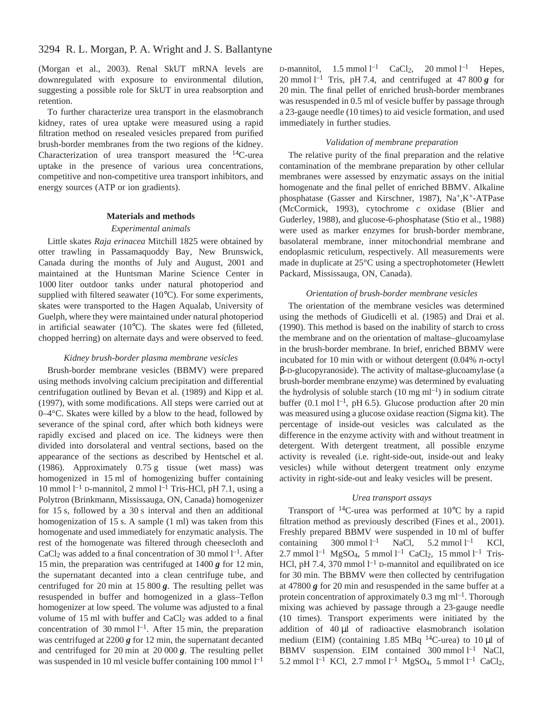(Morgan et al., 2003). Renal SkUT mRNA levels are downregulated with exposure to environmental dilution, suggesting a possible role for SkUT in urea reabsorption and retention.

To further characterize urea transport in the elasmobranch kidney, rates of urea uptake were measured using a rapid filtration method on resealed vesicles prepared from purified brush-border membranes from the two regions of the kidney. Characterization of urea transport measured the  $^{14}$ C-urea uptake in the presence of various urea concentrations, competitive and non-competitive urea transport inhibitors, and energy sources (ATP or ion gradients).

#### **Materials and methods**

#### *Experimental animals*

Little skates *Raja erinacea* Mitchill 1825 were obtained by otter trawling in Passamaquoddy Bay, New Brunswick, Canada during the months of July and August, 2001 and maintained at the Huntsman Marine Science Center in 1000 liter outdoor tanks under natural photoperiod and supplied with filtered seawater (10°C). For some experiments, skates were transported to the Hagen Aqualab, University of Guelph, where they were maintained under natural photoperiod in artificial seawater (10°C). The skates were fed (filleted, chopped herring) on alternate days and were observed to feed.

### *Kidney brush-border plasma membrane vesicles*

Brush-border membrane vesicles (BBMV) were prepared using methods involving calcium precipitation and differential centrifugation outlined by Bevan et al. (1989) and Kipp et al. (1997), with some modifications. All steps were carried out at 0–4°C. Skates were killed by a blow to the head, followed by severance of the spinal cord, after which both kidneys were rapidly excised and placed on ice. The kidneys were then divided into dorsolateral and ventral sections, based on the appearance of the sections as described by Hentschel et al. (1986). Approximately  $0.75g$  tissue (wet mass) was homogenized in 15 ml of homogenizing buffer containing 10 mmol  $l^{-1}$  D-mannitol, 2 mmol  $l^{-1}$  Tris-HCl, pH 7.1, using a Polytron (Brinkmann, Mississauga, ON, Canada) homogenizer for 15 s, followed by a 30 s interval and then an additional homogenization of 15 s. A sample  $(1 \text{ ml})$  was taken from this homogenate and used immediately for enzymatic analysis. The rest of the homogenate was filtered through cheesecloth and CaCl<sub>2</sub> was added to a final concentration of 30 mmol  $l^{-1}$ . After 15 min, the preparation was centrifuged at  $1400\,\text{g}$  for 12 min, the supernatant decanted into a clean centrifuge tube, and centrifuged for 20 min at 15  $800 g$ . The resulting pellet was resuspended in buffer and homogenized in a glass–Teflon homogenizer at low speed. The volume was adjusted to a final volume of 15 ml with buffer and CaCl<sub>2</sub> was added to a final concentration of 30 mmol  $l^{-1}$ . After 15 min, the preparation was centrifuged at  $2200\,\text{g}$  for 12 min, the supernatant decanted and centrifuged for 20 min at 20  $000 g$ . The resulting pellet was suspended in 10 ml vesicle buffer containing 100 mmol  $l^{-1}$ 

D-mannitol,  $1.5 \text{ mmol } l^{-1}$  CaCl<sub>2</sub>,  $20 \text{ mmol } l^{-1}$  Hepes, 20 mmol<sup>1-1</sup> Tris, pH 7.4, and centrifuged at 47 800  $g$  for 20 min. The final pellet of enriched brush-border membranes was resuspended in 0.5 ml of vesicle buffer by passage through a 23-gauge needle (10 times) to aid vesicle formation, and used immediately in further studies.

# *Validation of membrane preparation*

The relative purity of the final preparation and the relative contamination of the membrane preparation by other cellular membranes were assessed by enzymatic assays on the initial homogenate and the final pellet of enriched BBMV. Alkaline phosphatase (Gasser and Kirschner, 1987), Na+,K+-ATPase (McCormick, 1993), cytochrome *c* oxidase (Blier and Guderley, 1988), and glucose-6-phosphatase (Stio et al., 1988) were used as marker enzymes for brush-border membrane, basolateral membrane, inner mitochondrial membrane and endoplasmic reticulum, respectively. All measurements were made in duplicate at 25°C using a spectrophotometer (Hewlett Packard, Mississauga, ON, Canada).

#### *Orientation of brush-border membrane vesicles*

The orientation of the membrane vesicles was determined using the methods of Giudicelli et al. (1985) and Drai et al. (1990). This method is based on the inability of starch to cross the membrane and on the orientation of maltase–glucoamylase in the brush-border membrane. In brief, enriched BBMV were incubated for 10 min with or without detergent (0.04% *n*-octyl β-D-glucopyranoside). The activity of maltase-glucoamylase (a brush-border membrane enzyme) was determined by evaluating the hydrolysis of soluble starch  $(10~\text{mg}~\text{m}^{-1})$  in sodium citrate buffer (0.1 mol  $l^{-1}$ , pH 6.5). Glucose production after 20 min was measured using a glucose oxidase reaction (Sigma kit). The percentage of inside-out vesicles was calculated as the difference in the enzyme activity with and without treatment in detergent. With detergent treatment, all possible enzyme activity is revealed (i.e. right-side-out, inside-out and leaky vesicles) while without detergent treatment only enzyme activity in right-side-out and leaky vesicles will be present.

# *Urea transport assays*

Transport of 14C-urea was performed at 10°C by a rapid filtration method as previously described (Fines et al., 2001). Freshly prepared BBMV were suspended in 10 ml of buffer containing  $300 \text{ mmol } l^{-1}$  NaCl,  $5.2 \text{ mmol } l$ KCl,  $2.7 \text{ mmol } l^{-1} \text{ MgSO}_4$ , 5 mmol  $l^{-1}$  CaCl<sub>2</sub>, 15 mmol  $l^{-1}$  Tris-HCl, pH 7.4, 370 mmol  $l^{-1}$  D-mannitol and equilibrated on ice for 30 min. The BBMV were then collected by centrifugation at 47800  $g$  for 20 min and resuspended in the same buffer at a protein concentration of approximately  $0.3 \text{ mg ml}^{-1}$ . Thorough mixing was achieved by passage through a 23-gauge needle (10 times). Transport experiments were initiated by the addition of  $40 \mu l$  of radioactive elasmobranch isolation medium (EIM) (containing 1.85 MBq  $^{14}$ C-urea) to 10 µl of BBMV suspension. EIM contained  $300$  mmol  $l^{-1}$  NaCl, 5.2 mmol  $l^{-1}$  KCl, 2.7 mmol  $l^{-1}$  MgSO<sub>4</sub>, 5 mmol  $l^{-1}$  CaCl<sub>2</sub>,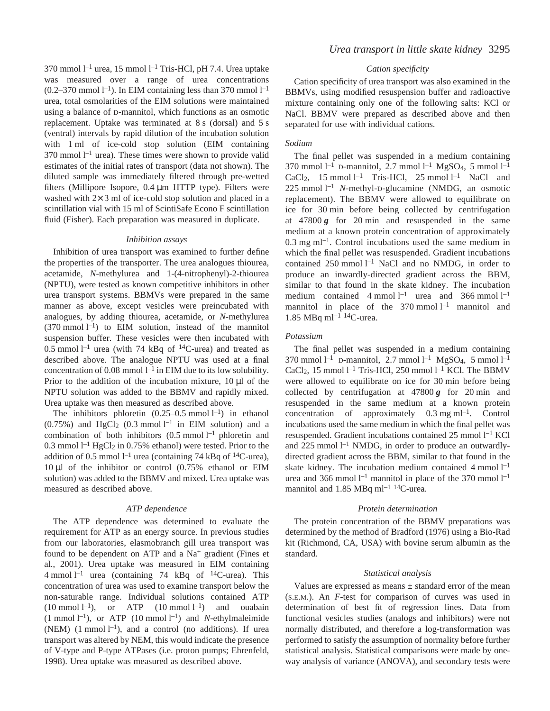370 mmol  $l^{-1}$  urea, 15 mmol  $l^{-1}$  Tris-HCl, pH 7.4. Urea uptake was measured over a range of urea concentrations  $(0.2-370 \text{ mmol } l^{-1})$ . In EIM containing less than 370 mmol  $l^{-1}$ urea, total osmolarities of the EIM solutions were maintained using a balance of D-mannitol, which functions as an osmotic replacement. Uptake was terminated at 8 s (dorsal) and 5 s (ventral) intervals by rapid dilution of the incubation solution with 1 ml of ice-cold stop solution (EIM containing 370 mmol  $l<sup>-1</sup>$  urea). These times were shown to provide valid estimates of the initial rates of transport (data not shown). The diluted sample was immediately filtered through pre-wetted filters (Millipore Isopore,  $0.4 \mu m$  HTTP type). Filters were washed with  $2 \times 3$  ml of ice-cold stop solution and placed in a scintillation vial with 15 ml of ScintiSafe Econo F scintillation fluid (Fisher). Each preparation was measured in duplicate.

#### *Inhibition assays*

Inhibition of urea transport was examined to further define the properties of the transporter. The urea analogues thiourea, acetamide, *N*-methylurea and 1-(4-nitrophenyl)-2-thiourea (NPTU), were tested as known competitive inhibitors in other urea transport systems. BBMVs were prepared in the same manner as above, except vesicles were preincubated with analogues, by adding thiourea, acetamide, or *N*-methylurea  $(370 \text{ mmol } l^{-1})$  to EIM solution, instead of the mannitol suspension buffer. These vesicles were then incubated with 0.5 mmol  $l^{-1}$  urea (with 74 kBq of <sup>14</sup>C-urea) and treated as described above. The analogue NPTU was used at a final concentration of 0.08 mmol  $l^{-1}$  in EIM due to its low solubility. Prior to the addition of the incubation mixture,  $10 \mu l$  of the NPTU solution was added to the BBMV and rapidly mixed. Urea uptake was then measured as described above.

The inhibitors phloretin  $(0.25-0.5 \text{ mmol l}^{-1})$  in ethanol  $(0.75\%)$  and HgCl<sub>2</sub>  $(0.3 \text{ mmol } l^{-1}$  in EIM solution) and a combination of both inhibitors  $(0.5 \text{ mmol } l^{-1}$  phloretin and 0.3 mmol  $l<sup>-1</sup>$  HgCl<sub>2</sub> in 0.75% ethanol) were tested. Prior to the addition of 0.5 mmol  $l^{-1}$  urea (containing 74 kBq of <sup>14</sup>C-urea),  $10 \mu l$  of the inhibitor or control (0.75% ethanol or EIM solution) was added to the BBMV and mixed. Urea uptake was measured as described above.

#### *ATP dependence*

The ATP dependence was determined to evaluate the requirement for ATP as an energy source. In previous studies from our laboratories, elasmobranch gill urea transport was found to be dependent on ATP and a  $Na<sup>+</sup>$  gradient (Fines et al., 2001). Urea uptake was measured in EIM containing 4 mmol  $l^{-1}$  urea (containing 74 kBq of  ${}^{14}$ C-urea). This concentration of urea was used to examine transport below the non-saturable range. Individual solutions contained ATP  $(10 \text{ mmol } l^{-1})$ , or ATP  $(10 \text{ mmol } l^{-1})$  and ouabain  $(1 \text{ mmol } l^{-1})$ , or ATP  $(10 \text{ mmol } l^{-1})$  and *N*-ethylmaleimide (NEM)  $(1 \text{ mmol } l^{-1})$ , and a control (no additions). If urea transport was altered by NEM, this would indicate the presence of V-type and P-type ATPases (i.e. proton pumps; Ehrenfeld, 1998). Urea uptake was measured as described above.

# *Urea transport in little skate kidney* 3295

#### *Cation specificity*

Cation specificity of urea transport was also examined in the BBMVs, using modified resuspension buffer and radioactive mixture containing only one of the following salts: KCl or NaCl. BBMV were prepared as described above and then separated for use with individual cations.

# *Sodium*

The final pellet was suspended in a medium containing 370 mmol  $l^{-1}$  D-mannitol, 2.7 mmol  $l^{-1}$  MgSO<sub>4</sub>, 5 mmol  $l^{-1}$ CaCl<sub>2</sub>, 15 mmol  $l^{-1}$  Tris-HCl, 25 mmol  $l^{-1}$  NaCl and  $225$  mmol<sup>1-1</sup> *N*-methyl-D-glucamine (NMDG, an osmotic replacement). The BBMV were allowed to equilibrate on ice for 30 min before being collected by centrifugation at  $47800g$  for 20 min and resuspended in the same medium at a known protein concentration of approximately  $0.3 \text{ mg ml}^{-1}$ . Control incubations used the same medium in which the final pellet was resuspended. Gradient incubations contained  $250$  mmol  $l^{-1}$  NaCl and no NMDG, in order to produce an inwardly-directed gradient across the BBM, similar to that found in the skate kidney. The incubation medium contained 4 mmol  $l^{-1}$  urea and 366 mmol  $l^{-1}$ mannitol in place of the  $370$  mmol  $l^{-1}$  mannitol and 1.85 MBq ml<sup>-1 14</sup>C-urea.

#### *Potassium*

The final pellet was suspended in a medium containing 370 mmol  $l^{-1}$  D-mannitol, 2.7 mmol  $l^{-1}$  MgSO<sub>4</sub>, 5 mmol  $l^{-1}$ CaCl<sub>2</sub>, 15 mmol<sup>1-1</sup> Tris-HCl, 250 mmol<sup>1-1</sup> KCl. The BBMV were allowed to equilibrate on ice for 30 min before being collected by centrifugation at  $47800\,\text{g}$  for 20 min and resuspended in the same medium at a known protein concentration of approximately  $0.3 \text{ mg ml}^{-1}$ . Control incubations used the same medium in which the final pellet was resuspended. Gradient incubations contained  $25$  mmol  $l<sup>-1</sup>$  KCl and  $225$  mmol  $l<sup>-1</sup>$  NMDG, in order to produce an outwardlydirected gradient across the BBM, similar to that found in the skate kidney. The incubation medium contained  $4$  mmol  $l^{-1}$ urea and 366 mmol  $l^{-1}$  mannitol in place of the 370 mmol  $l^{-1}$ mannitol and 1.85 MBq ml<sup>-1 14</sup>C-urea.

#### *Protein determination*

The protein concentration of the BBMV preparations was determined by the method of Bradford (1976) using a Bio-Rad kit (Richmond, CA, USA) with bovine serum albumin as the standard.

#### *Statistical analysis*

Values are expressed as means  $\pm$  standard error of the mean (S.E.M.). An *F*-test for comparison of curves was used in determination of best fit of regression lines. Data from functional vesicles studies (analogs and inhibitors) were not normally distributed, and therefore a log-transformation was performed to satisfy the assumption of normality before further statistical analysis. Statistical comparisons were made by oneway analysis of variance (ANOVA), and secondary tests were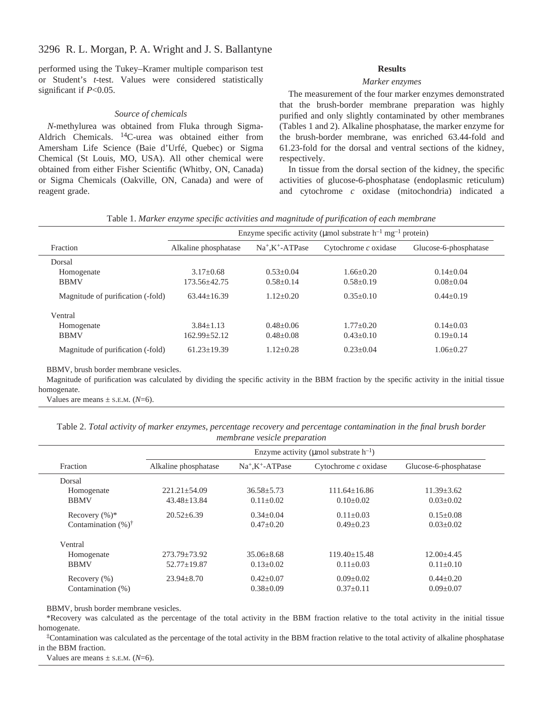# 3296 R. L. Morgan, P. A. Wright and J. S. Ballantyne

performed using the Tukey–Kramer multiple comparison test or Student's *t*-test. Values were considered statistically significant if *P*<0.05.

#### *Source of chemicals*

*N*-methylurea was obtained from Fluka through Sigma-Aldrich Chemicals. 14C-urea was obtained either from Amersham Life Science (Baie d'Urfé, Quebec) or Sigma Chemical (St Louis, MO, USA). All other chemical were obtained from either Fisher Scientific (Whitby, ON, Canada) or Sigma Chemicals (Oakville, ON, Canada) and were of reagent grade.

#### **Results**

#### *Marker enzymes*

The measurement of the four marker enzymes demonstrated that the brush-border membrane preparation was highly purified and only slightly contaminated by other membranes (Tables 1 and 2). Alkaline phosphatase, the marker enzyme for the brush-border membrane, was enriched 63.44-fold and 61.23-fold for the dorsal and ventral sections of the kidney, respectively.

In tissue from the dorsal section of the kidney, the specific activities of glucose-6-phosphatase (endoplasmic reticulum) and cytochrome *c* oxidase (mitochondria) indicated a

|  |  |  |  | Table 1. Marker enzyme specific activities and magnitude of purification of each membrane |  |  |
|--|--|--|--|-------------------------------------------------------------------------------------------|--|--|
|  |  |  |  |                                                                                           |  |  |

|                                   | Enzyme specific activity ( $\mu$ mol substrate h <sup>-1</sup> mg <sup>-1</sup> protein) |                        |                        |                       |  |
|-----------------------------------|------------------------------------------------------------------------------------------|------------------------|------------------------|-----------------------|--|
| Fraction                          | Alkaline phosphatase                                                                     | $Na^+$ . $K^+$ -ATPase | Cytochrome $c$ oxidase | Glucose-6-phosphatase |  |
| Dorsal                            |                                                                                          |                        |                        |                       |  |
| Homogenate                        | $3.17 + 0.68$                                                                            | $0.53+0.04$            | $1.66 + 0.20$          | $0.14 + 0.04$         |  |
| <b>BBMV</b>                       | 173.56+42.75                                                                             | $0.58 + 0.14$          | $0.58 + 0.19$          | $0.08 + 0.04$         |  |
| Magnitude of purification (-fold) | $63.44 + 16.39$                                                                          | $1.12 + 0.20$          | $0.35+0.10$            | $0.44 + 0.19$         |  |
| Ventral                           |                                                                                          |                        |                        |                       |  |
| Homogenate                        | $3.84 + 1.13$                                                                            | $0.48 + 0.06$          | $1.77+0.20$            | $0.14 + 0.03$         |  |
| <b>BBMV</b>                       | $162.99 + 52.12$                                                                         | $0.48 + 0.08$          | $0.43+0.10$            | $0.19+0.14$           |  |
| Magnitude of purification (-fold) | $61.23 + 19.39$                                                                          | $1.12 + 0.28$          | $0.23 + 0.04$          | $1.06 + 0.27$         |  |

BBMV, brush border membrane vesicles.

Magnitude of purification was calculated by dividing the specific activity in the BBM fraction by the specific activity in the initial tissue homogenate.

Values are means  $\pm$  s.E.M. ( $N=6$ ).

Table 2. Total activity of marker enzymes, percentage recovery and percentage contamination in the final brush border *membrane vesicle preparation*

|                                 |                      |                        | Enzyme activity ( $\mu$ mol substrate h <sup>-1</sup> ) |                       |
|---------------------------------|----------------------|------------------------|---------------------------------------------------------|-----------------------|
| Fraction                        | Alkaline phosphatase | $Na^+$ . $K^+$ -ATPase | Cytochrome $c$ oxidase                                  | Glucose-6-phosphatase |
| Dorsal                          |                      |                        |                                                         |                       |
| Homogenate                      | $221.21 \pm 54.09$   | $36.58 \pm 5.73$       | $111.64+16.86$                                          | $11.39 \pm 3.62$      |
| <b>BBMV</b>                     | $43.48 + 13.84$      | $0.11 + 0.02$          | $0.10+0.02$                                             | $0.03+0.02$           |
| Recovery $(\%)^*$               | $20.52 + 6.39$       | $0.34 + 0.04$          | $0.11 + 0.03$                                           | $0.15 \pm 0.08$       |
| Contamination $(\% )^{\dagger}$ |                      | $0.47+0.20$            | $0.49 + 0.23$                                           | $0.03+0.02$           |
| Ventral                         |                      |                        |                                                         |                       |
| Homogenate                      | $273.79 \pm 73.92$   | $35.06 + 8.68$         | $119.40 + 15.48$                                        | $12.00 + 4.45$        |
| <b>BBMV</b>                     | $52.77 \pm 19.87$    | $0.13 + 0.02$          | $0.11 + 0.03$                                           | $0.11 \pm 0.10$       |
| Recovery $(\% )$                | $23.94 \pm 8.70$     | $0.42+0.07$            | $0.09 + 0.02$                                           | $0.44 \pm 0.20$       |
| Contamination (%)               |                      | $0.38 \pm 0.09$        | $0.37+0.11$                                             | $0.09 + 0.07$         |

BBMV, brush border membrane vesicles.

\*Recovery was calculated as the percentage of the total activity in the BBM fraction relative to the total activity in the initial tissue homogenate.

‡Contamination was calculated as the percentage of the total activity in the BBM fraction relative to the total activity of alkaline phosphatase in the BBM fraction.

Values are means  $\pm$  s.e.m. ( $N=6$ ).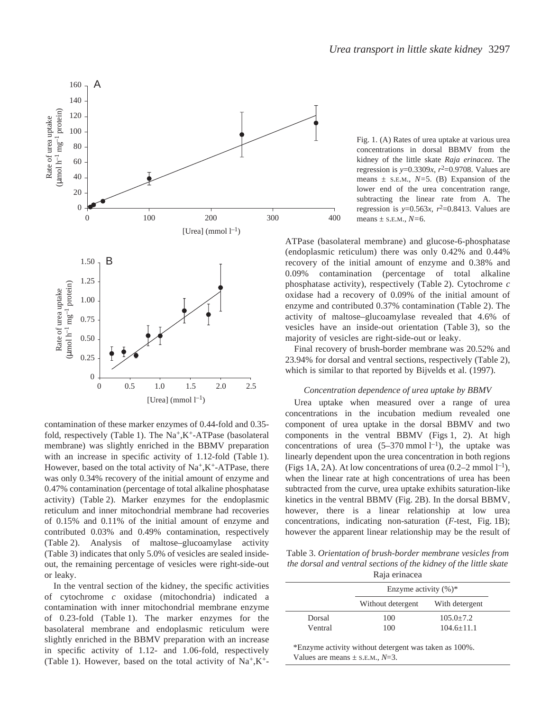

contamination of these marker enzymes of 0.44-fold and 0.35 fold, respectively (Table 1). The  $Na^+,K^+$ -ATPase (basolateral membrane) was slightly enriched in the BBMV preparation with an increase in specific activity of 1.12-fold (Table 1). However, based on the total activity of  $Na^+, K^+$ -ATPase, there was only 0.34% recovery of the initial amount of enzyme and 0.47% contamination (percentage of total alkaline phosphatase activity) (Table 2). Marker enzymes for the endoplasmic reticulum and inner mitochondrial membrane had recoveries of 0.15% and 0.11% of the initial amount of enzyme and contributed 0.03% and 0.49% contamination, respectively (Table 2). Analysis of maltose–glucoamylase activity (Table 3) indicates that only 5.0% of vesicles are sealed insideout, the remaining percentage of vesicles were right-side-out or leaky.

In the ventral section of the kidney, the specific activities of cytochrome *c* oxidase (mitochondria) indicated a contamination with inner mitochondrial membrane enzyme of 0.23-fold (Table 1). The marker enzymes for the basolateral membrane and endoplasmic reticulum were slightly enriched in the BBMV preparation with an increase in specific activity of 1.12- and 1.06-fold, respectively (Table 1). However, based on the total activity of  $Na^{+}$ ,  $K^{+}$ -

Fig. 1. (A) Rates of urea uptake at various urea concentrations in dorsal BBMV from the kidney of the little skate *Raja erinacea*. The regression is  $y=0.3309x$ ,  $r^2=0.9708$ . Values are means ± S.E.M., *N=*5. (B) Expansion of the lower end of the urea concentration range, subtracting the linear rate from A. The regression is  $y=0.563x$ ,  $r^2=0.8413$ . Values are means ± S.E.M., *N=*6.

ATPase (basolateral membrane) and glucose-6-phosphatase (endoplasmic reticulum) there was only 0.42% and 0.44% recovery of the initial amount of enzyme and 0.38% and 0.09% contamination (percentage of total alkaline phosphatase activity), respectively (Table·2). Cytochrome *c* oxidase had a recovery of 0.09% of the initial amount of enzyme and contributed 0.37% contamination (Table 2). The activity of maltose–glucoamylase revealed that 4.6% of vesicles have an inside-out orientation (Table 3), so the majority of vesicles are right-side-out or leaky.

Final recovery of brush-border membrane was 20.52% and 23.94% for dorsal and ventral sections, respectively (Table·2), which is similar to that reported by Bijvelds et al. (1997).

#### *Concentration dependence of urea uptake by BBMV*

Urea uptake when measured over a range of urea concentrations in the incubation medium revealed one component of urea uptake in the dorsal BBMV and two components in the ventral BBMV (Figs  $1, 2$ ). At high concentrations of urea  $(5-370 \text{ mmol l}^{-1})$ , the uptake was linearly dependent upon the urea concentration in both regions (Figs 1A, 2A). At low concentrations of urea (0.2–2 mmol  $l^{-1}$ ), when the linear rate at high concentrations of urea has been subtracted from the curve, urea uptake exhibits saturation-like kinetics in the ventral BBMV (Fig.  $2B$ ). In the dorsal BBMV, however, there is a linear relationship at low urea concentrations, indicating non-saturation (*F*-test, Fig. 1B); however the apparent linear relationship may be the result of

Table 3. *Orientation of brush-border membrane vesicles from the dorsal and ventral sections of the kidney of the little skate* Raja erinacea

|         | Enzyme activity $(\%)^*$ |                |  |
|---------|--------------------------|----------------|--|
|         | Without detergent        | With detergent |  |
| Dorsal  | 100                      | $105.0 + 7.2$  |  |
| Ventral | 100                      | $104.6 + 11.1$ |  |

\*Enzyme activity without detergent was taken as 100%. Values are means  $\pm$  s.E.M.,  $N=3$ .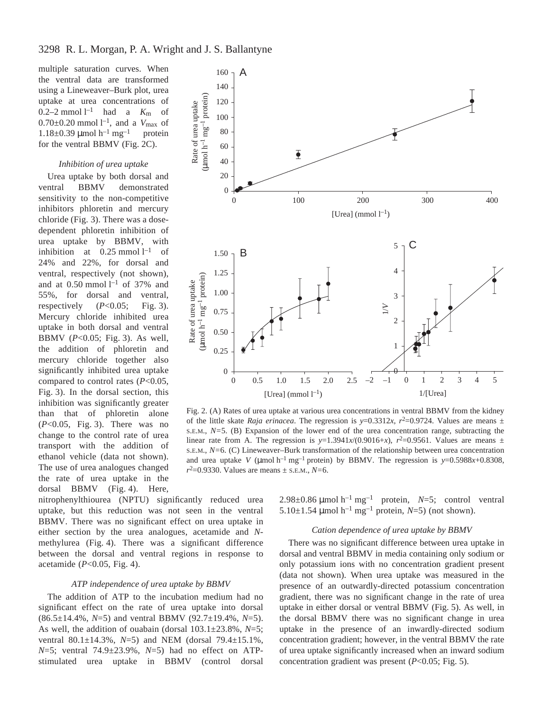multiple saturation curves. When the ventral data are transformed using a Lineweaver–Burk plot, urea uptake at urea concentrations of 0.2–2 mmol<sup> $l$ –1</sup> had a  $K_m$  of  $0.70 \pm 0.20$  mmol  $l^{-1}$ , and a  $V_{\text{max}}$  of 1.18 $\pm$ 0.39 µmol h<sup>-1</sup> mg<sup>-1</sup> protein for the ventral BBMV (Fig.  $2C$ ).

# *Inhibition of urea uptake*

Urea uptake by both dorsal and ventral BBMV demonstrated sensitivity to the non-competitive inhibitors phloretin and mercury chloride (Fig. 3). There was a dosedependent phloretin inhibition of urea uptake by BBMV, with inhibition at  $0.25 \text{ mmol } l^{-1}$  of 24% and 22%, for dorsal and ventral, respectively (not shown), and at  $0.50$  mmol  $l^{-1}$  of 37% and 55%, for dorsal and ventral, respectively  $(P<0.05;$  Fig. 3). Mercury chloride inhibited urea uptake in both dorsal and ventral BBMV  $(P<0.05;$  Fig. 3). As well, the addition of phloretin and mercury chloride together also significantly inhibited urea uptake compared to control rates (*P*<0.05, Fig. 3). In the dorsal section, this inhibition was significantly greater than that of phloretin alone (*P*<0.05, Fig. 3). There was no change to the control rate of urea transport with the addition of ethanol vehicle (data not shown). The use of urea analogues changed the rate of urea uptake in the dorsal BBMV (Fig. 4). Here,



Fig. 2. (A) Rates of urea uptake at various urea concentrations in ventral BBMV from the kidney of the little skate *Raja erinacea*. The regression is  $y=0.3312x$ ,  $r^2=0.9724$ . Values are means  $\pm$ S.E.M.,  $N=5$ . (B) Expansion of the lower end of the urea concentration range, subtracting the linear rate from A. The regression is  $y=1.3941x/(0.9016+x)$ ,  $r^2=0.9561$ . Values are means  $\pm$ S.E.M., *N=*6. (C) Lineweaver–Burk transformation of the relationship between urea concentration and urea uptake *V* ( $\mu$ mol h<sup>-1</sup> mg<sup>-1</sup> protein) by BBMV. The regression is *y*=0.5988*x*+0.8308, *r*2=0.9330. Values are means ± S.E.M., *N=*6.

nitrophenylthiourea (NPTU) significantly reduced urea uptake, but this reduction was not seen in the ventral BBMV. There was no significant effect on urea uptake in either section by the urea analogues, acetamide and *N*methylurea (Fig. 4). There was a significant difference between the dorsal and ventral regions in response to acetamide  $(P<0.05$ , Fig. 4).

#### *ATP independence of urea uptake by BBMV*

The addition of ATP to the incubation medium had no significant effect on the rate of urea uptake into dorsal (86.5±14.4%, *N*=5) and ventral BBMV (92.7±19.4%, *N*=5). As well, the addition of ouabain (dorsal 103.1±23.8%, *N*=5; ventral 80.1±14.3%, *N*=5) and NEM (dorsal 79.4±15.1%, *N*=5; ventral 74.9±23.9%, *N*=5) had no effect on ATPstimulated urea uptake in BBMV (control dorsal 2.98 $\pm$ 0.86 µmol h<sup>-1</sup> mg<sup>-1</sup> protein, *N*=5; control ventral 5.10 $\pm$ 1.54 µmol h<sup>-1</sup> mg<sup>-1</sup> protein, *N*=5) (not shown).

#### *Cation dependence of urea uptake by BBMV*

There was no significant difference between urea uptake in dorsal and ventral BBMV in media containing only sodium or only potassium ions with no concentration gradient present (data not shown). When urea uptake was measured in the presence of an outwardly-directed potassium concentration gradient, there was no significant change in the rate of urea uptake in either dorsal or ventral BBMV (Fig. 5). As well, in the dorsal BBMV there was no significant change in urea uptake in the presence of an inwardly-directed sodium concentration gradient; however, in the ventral BBMV the rate of urea uptake significantly increased when an inward sodium concentration gradient was present  $(P<0.05;$  Fig. 5).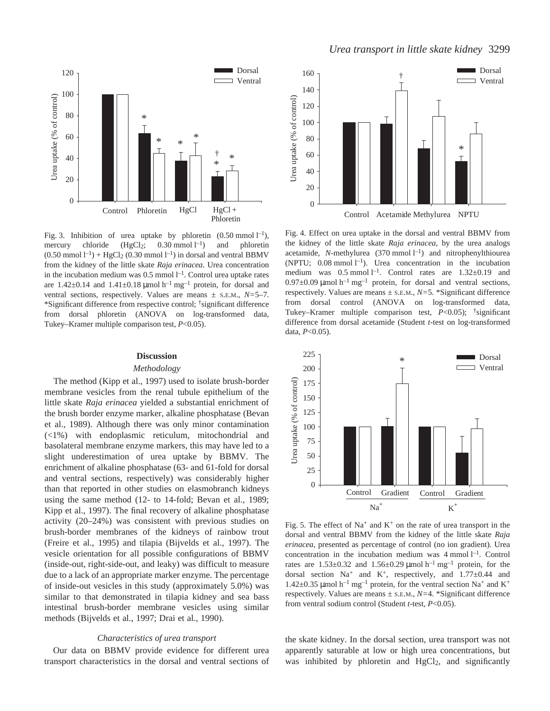

Fig. 3. Inhibition of urea uptake by phloretin  $(0.50 \text{ mmol } l^{-1})$ , mercury chloride  $(HgCl<sub>2</sub>; 0.30 mmol l<sup>-1</sup>)$ and phloretin  $(0.50 \text{ mmol } l^{-1}) + HgCl_2 (0.30 \text{ mmol } l^{-1})$  in dorsal and ventral BBMV from the kidney of the little skate *Raja erinacea*. Urea concentration in the incubation medium was  $0.5$  mmol  $l^{-1}$ . Control urea uptake rates are  $1.42\pm0.14$  and  $1.41\pm0.18$  µmol  $h^{-1}$  mg<sup>-1</sup> protein, for dorsal and ventral sections, respectively. Values are means ± S.E.M., *N=*5–7. \*Significant difference from respective control; †significant difference from dorsal phloretin (ANOVA on log-transformed data, Tukey–Kramer multiple comparison test, *P*<0.05).

#### **Discussion**

#### *Methodology*

The method (Kipp et al., 1997) used to isolate brush-border membrane vesicles from the renal tubule epithelium of the little skate *Raja erinacea* yielded a substantial enrichment of the brush border enzyme marker, alkaline phosphatase (Bevan et al., 1989). Although there was only minor contamination (<1%) with endoplasmic reticulum, mitochondrial and basolateral membrane enzyme markers, this may have led to a slight underestimation of urea uptake by BBMV. The enrichment of alkaline phosphatase (63- and 61-fold for dorsal and ventral sections, respectively) was considerably higher than that reported in other studies on elasmobranch kidneys using the same method (12- to 14-fold; Bevan et al., 1989; Kipp et al., 1997). The final recovery of alkaline phosphatase activity (20–24%) was consistent with previous studies on brush-border membranes of the kidneys of rainbow trout (Freire et al., 1995) and tilapia (Bijvelds et al., 1997). The vesicle orientation for all possible configurations of BBMV (inside-out, right-side-out, and leaky) was difficult to measure due to a lack of an appropriate marker enzyme. The percentage of inside-out vesicles in this study (approximately 5.0%) was similar to that demonstrated in tilapia kidney and sea bass intestinal brush-border membrane vesicles using similar methods (Bijvelds et al., 1997; Drai et al., 1990).

### *Characteristics of urea transport*

Our data on BBMV provide evidence for different urea transport characteristics in the dorsal and ventral sections of



Fig. 4. Effect on urea uptake in the dorsal and ventral BBMV from the kidney of the little skate *Raja erinacea*, by the urea analogs acetamide,  $N$ -methylurea (370 mmol  $l^{-1}$ ) and nitrophenylthiourea (NPTU;  $0.08$  mmol  $l^{-1}$ ). Urea concentration in the incubation medium was  $0.5$  mmol  $l^{-1}$ . Control rates are  $1.32\pm0.19$  and  $0.97\pm0.09~\mu$ mol h<sup>-1</sup> mg<sup>-1</sup> protein, for dorsal and ventral sections, respectively. Values are means ± S.E.M., *N=*5. \*Significant difference from dorsal control (ANOVA on log-transformed data, Tukey–Kramer multiple comparison test, *P*<0.05); †significant difference from dorsal acetamide (Student *t*-test on log-transformed data, *P*<0.05).



Fig. 5. The effect of Na<sup>+</sup> and K<sup>+</sup> on the rate of urea transport in the dorsal and ventral BBMV from the kidney of the little skate *Raja erinacea*, presented as percentage of control (no ion gradient). Urea concentration in the incubation medium was  $4$  mmol  $l^{-1}$ . Control rates are  $1.53\pm0.32$  and  $1.56\pm0.29$  µmol h<sup>-1</sup> mg<sup>-1</sup> protein, for the dorsal section  $Na^+$  and  $K^+$ , respectively, and  $1.77 \pm 0.44$  and  $1.42\pm0.35$  µmol h<sup>-1</sup> mg<sup>-1</sup> protein, for the ventral section Na<sup>+</sup> and K<sup>+</sup> respectively. Values are means ± S.E.M., *N=*4. \*Significant difference from ventral sodium control (Student *t*-test, *P*<0.05).

the skate kidney. In the dorsal section, urea transport was not apparently saturable at low or high urea concentrations, but was inhibited by phloretin and HgCl<sub>2</sub>, and significantly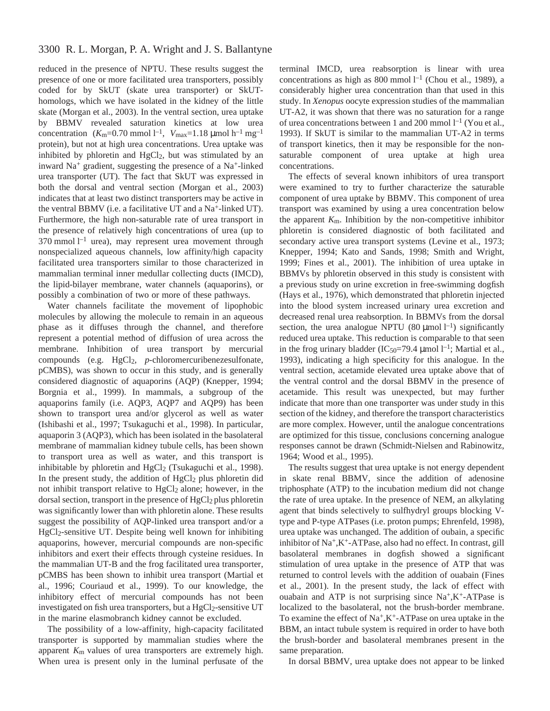reduced in the presence of NPTU. These results suggest the presence of one or more facilitated urea transporters, possibly coded for by SkUT (skate urea transporter) or SkUThomologs, which we have isolated in the kidney of the little skate (Morgan et al., 2003). In the ventral section, urea uptake by BBMV revealed saturation kinetics at low urea concentration  $(K_m=0.70 \text{ mmol } l^{-1}, V_{\text{max}}=1.18 \text{ \mu mol } h^{-1} \text{ mg}^{-1}$ protein), but not at high urea concentrations. Urea uptake was inhibited by phloretin and  $HgCl<sub>2</sub>$ , but was stimulated by an inward Na+ gradient, suggesting the presence of a Na+-linked urea transporter (UT). The fact that SkUT was expressed in both the dorsal and ventral section (Morgan et al., 2003) indicates that at least two distinct transporters may be active in the ventral BBMV (i.e. a facilitative UT and a Na+-linked UT). Furthermore, the high non-saturable rate of urea transport in the presence of relatively high concentrations of urea (up to 370 mmol  $l^{-1}$  urea), may represent urea movement through nonspecialized aqueous channels, low affinity/high capacity facilitated urea transporters similar to those characterized in mammalian terminal inner medullar collecting ducts (IMCD), the lipid-bilayer membrane, water channels (aquaporins), or possibly a combination of two or more of these pathways.

Water channels facilitate the movement of lipophobic molecules by allowing the molecule to remain in an aqueous phase as it diffuses through the channel, and therefore represent a potential method of diffusion of urea across the membrane. Inhibition of urea transport by mercurial compounds (e.g. HgCl<sub>2</sub>, *p*-chloromercuribenezesulfonate, pCMBS), was shown to occur in this study, and is generally considered diagnostic of aquaporins (AQP) (Knepper, 1994; Borgnia et al., 1999). In mammals, a subgroup of the aquaporins family (i.e. AQP3, AQP7 and AQP9) has been shown to transport urea and/or glycerol as well as water (Ishibashi et al., 1997; Tsukaguchi et al., 1998). In particular, aquaporin 3 (AQP3), which has been isolated in the basolateral membrane of mammalian kidney tubule cells, has been shown to transport urea as well as water, and this transport is inhibitable by phloretin and  $HgCl<sub>2</sub>$  (Tsukaguchi et al., 1998). In the present study, the addition of  $HgCl<sub>2</sub>$  plus phloretin did not inhibit transport relative to HgCl<sub>2</sub> alone; however, in the dorsal section, transport in the presence of  $HgCl<sub>2</sub>$  plus phloretin was significantly lower than with phloretin alone. These results suggest the possibility of AQP-linked urea transport and/or a HgCl2-sensitive UT. Despite being well known for inhibiting aquaporins, however, mercurial compounds are non-specific inhibitors and exert their effects through cysteine residues. In the mammalian UT-B and the frog facilitated urea transporter, pCMBS has been shown to inhibit urea transport (Martial et al., 1996; Couriaud et al., 1999). To our knowledge, the inhibitory effect of mercurial compounds has not been investigated on fish urea transporters, but a HgCl<sub>2</sub>-sensitive UT in the marine elasmobranch kidney cannot be excluded.

The possibility of a low-affinity, high-capacity facilitated transporter is supported by mammalian studies where the apparent *K*m values of urea transporters are extremely high. When urea is present only in the luminal perfusate of the terminal IMCD, urea reabsorption is linear with urea concentrations as high as 800 mmol  $l^{-1}$  (Chou et al., 1989), a considerably higher urea concentration than that used in this study. In *Xenopus* oocyte expression studies of the mammalian UT-A2, it was shown that there was no saturation for a range of urea concentrations between 1 and 200 mmol  $l^{-1}$  (You et al., 1993). If SkUT is similar to the mammalian UT-A2 in terms of transport kinetics, then it may be responsible for the nonsaturable component of urea uptake at high urea concentrations.

The effects of several known inhibitors of urea transport were examined to try to further characterize the saturable component of urea uptake by BBMV. This component of urea transport was examined by using a urea concentration below the apparent  $K_{\rm m}$ . Inhibition by the non-competitive inhibitor phloretin is considered diagnostic of both facilitated and secondary active urea transport systems (Levine et al., 1973; Knepper, 1994; Kato and Sands, 1998; Smith and Wright, 1999; Fines et al., 2001). The inhibition of urea uptake in BBMVs by phloretin observed in this study is consistent with a previous study on urine excretion in free-swimming dogfish (Hays et al., 1976), which demonstrated that phloretin injected into the blood system increased urinary urea excretion and decreased renal urea reabsorption. In BBMVs from the dorsal section, the urea analogue NPTU (80  $\mu$ mol l<sup>-1</sup>) significantly reduced urea uptake. This reduction is comparable to that seen in the frog urinary bladder ( $IC_{50}$ =79.4 µmol  $l^{-1}$ ; Martial et al., 1993), indicating a high specificity for this analogue. In the ventral section, acetamide elevated urea uptake above that of the ventral control and the dorsal BBMV in the presence of acetamide. This result was unexpected, but may further indicate that more than one transporter was under study in this section of the kidney, and therefore the transport characteristics are more complex. However, until the analogue concentrations are optimized for this tissue, conclusions concerning analogue responses cannot be drawn (Schmidt-Nielsen and Rabinowitz, 1964; Wood et al., 1995).

The results suggest that urea uptake is not energy dependent in skate renal BBMV, since the addition of adenosine triphosphate (ATP) to the incubation medium did not change the rate of urea uptake. In the presence of NEM, an alkylating agent that binds selectively to sulfhydryl groups blocking Vtype and P-type ATPases (i.e. proton pumps; Ehrenfeld, 1998), urea uptake was unchanged. The addition of oubain, a specific inhibitor of Na+,K+-ATPase, also had no effect. In contrast, gill basolateral membranes in dogfish showed a significant stimulation of urea uptake in the presence of ATP that was returned to control levels with the addition of ouabain (Fines et al., 2001). In the present study, the lack of effect with ouabain and ATP is not surprising since  $Na^+, K^+$ -ATPase is localized to the basolateral, not the brush-border membrane. To examine the effect of  $Na^+, K^+$ -ATPase on urea uptake in the BBM, an intact tubule system is required in order to have both the brush-border and basolateral membranes present in the same preparation.

In dorsal BBMV, urea uptake does not appear to be linked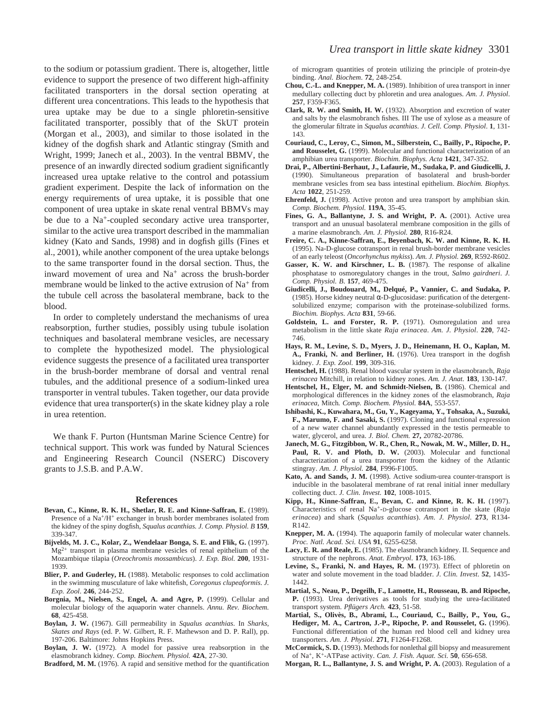to the sodium or potassium gradient. There is, altogether, little evidence to support the presence of two different high-affinity facilitated transporters in the dorsal section operating at different urea concentrations. This leads to the hypothesis that urea uptake may be due to a single phloretin-sensitive facilitated transporter, possibly that of the SkUT protein (Morgan et al., 2003), and similar to those isolated in the kidney of the dogfish shark and Atlantic stingray (Smith and Wright, 1999; Janech et al., 2003). In the ventral BBMV, the presence of an inwardly directed sodium gradient significantly increased urea uptake relative to the control and potassium gradient experiment. Despite the lack of information on the energy requirements of urea uptake, it is possible that one component of urea uptake in skate renal ventral BBMVs may be due to a Na<sup>+</sup>-coupled secondary active urea transporter, similar to the active urea transport described in the mammalian kidney (Kato and Sands, 1998) and in dogfish gills (Fines et al., 2001), while another component of the urea uptake belongs to the same transporter found in the dorsal section. Thus, the inward movement of urea and Na<sup>+</sup> across the brush-border membrane would be linked to the active extrusion of  $Na<sup>+</sup>$  from the tubule cell across the basolateral membrane, back to the blood.

In order to completely understand the mechanisms of urea reabsorption, further studies, possibly using tubule isolation techniques and basolateral membrane vesicles, are necessary to complete the hypothesized model. The physiological evidence suggests the presence of a facilitated urea transporter in the brush-border membrane of dorsal and ventral renal tubules, and the additional presence of a sodium-linked urea transporter in ventral tubules. Taken together, our data provide evidence that urea transporter(s) in the skate kidney play a role in urea retention.

We thank F. Purton (Huntsman Marine Science Centre) for technical support. This work was funded by Natural Sciences and Engineering Research Council (NSERC) Discovery grants to J.S.B. and P.A.W.

#### **References**

- **Bevan, C., Kinne, R. K. H., Shetlar, R. E. and Kinne-Saffran, E.** (1989). Presence of a Na<sup>+</sup>/H<sup>+</sup> exchanger in brush border membranes isolated from the kidney of the spiny dogfish, *Squalus acanthias. J. Comp. Physiol. B* **159**, 339-347.
- **Bijvelds, M. J. C., Kolar, Z., Wendelaar Bonga, S. E. and Flik, G.** (1997).  $Mg^{2+}$  transport in plasma membrane vesicles of renal epithelium of the Mozambique tilapia (*Oreochromis mossambicus*). *J. Exp. Biol.* **200**, 1931- 1939.
- Blier, P. and Guderley, H. (1988). Metabolic responses to cold acclimation in the swimming musculature of lake whitefish, *Coregonus clupeaformis*. *J. Exp. Zool*. **246**, 244-252.
- **Borgnia, M., Nielsen, S., Engel, A. and Agre, P.** (1999). Cellular and molecular biology of the aquaporin water channels. *Annu. Rev. Biochem.* **68**, 425-458.
- **Boylan, J. W.** (1967). Gill permeability in *Squalus acanthias*. In *Sharks, Skates and Rays* (ed. P. W. Gilbert, R. F. Mathewson and D. P. Rall), pp. 197-206. Baltimore: Johns Hopkins Press.

**Boylan, J. W.** (1972). A model for passive urea reabsorption in the elasmobranch kidney*. Comp. Biochem. Physiol.* **42A**, 27-30.

**Bradford, M. M.** (1976). A rapid and sensitive method for the quantification

of microgram quantities of protein utilizing the principle of protein-dye binding. *Anal. Biochem*. **72**, 248-254.

- **Chou, C.-L. and Knepper, M. A.** (1989). Inhibition of urea transport in inner medullary collecting duct by phloretin and urea analogues. *Am. J. Physiol*. **257**, F359-F365.
- **Clark, R. W. and Smith, H. W.** (1932). Absorption and excretion of water and salts by the elasmobranch fishes. III The use of xylose as a measure of the glomerular filtrate in *Squalus acanthias*. *J. Cell. Comp. Physiol*. **1**, 131- 143.
- **Couriaud, C., Leroy, C., Simon, M., Silberstein, C., Bailly, P., Ripoche, P. and Rousselet, G.** (1999). Molecular and functional characterization of an amphibian urea transporter. *Biochim. Biophys. Acta* **1421**, 347-352.
- **Drai, P., Albertini-Berhaut, J., Lafaurie, M., Sudaka, P. and Giudicelli, J.** (1990). Simultaneous preparation of basolateral and brush-border membrane vesicles from sea bass intestinal epithelium. *Biochim. Biophys. Acta* **1022**, 251-259.
- **Ehrenfeld, J.** (1998). Active proton and urea transport by amphibian skin*. Comp. Biochem. Physiol.* **119A**, 35-45.
- Fines, G. A., Ballantyne, J. S. and Wright, P. A. (2001). Active urea transport and an unusual basolateral membrane composition in the gills of a marine elasmobranch. *Am. J. Physiol.* **280**, R16-R24.
- **Freire, C. A., Kinne-Saffran, E., Beyenbach, K. W. and Kinne, R. K. H.** (1995). Na-D-glucose cotransport in renal brush-border membrane vesicles of an early teleost (*Oncorhynchus mykiss*). *Am. J. Physiol.* **269**, R592-R602.
- Gasser, K. W. and Kirschner, L. B. (1987). The response of alkaline phosphatase to osmoregulatory changes in the trout, *Salmo gairdneri*. *J. Comp. Physiol. B*. **157**, 469-475.
- **Giudicelli, J., Boudouard, M., Delqué, P., Vannier, C. and Sudaka, P.** (1985). Horse kidney neutral  $\alpha$ -D-glucosidase: purification of the detergentsolubilized enzyme; comparison with the proteinase-solubilized forms. *Biochim. Biophys. Acta* **831**, 59-66.
- **Goldstein, L. and Forster, R. P.** (1971). Osmoregulation and urea metabolism in the little skate *Raja erinacea*. *Am. J. Physiol*. **220**, 742- 746.
- **Hays, R. M., Levine, S. D., Myers, J. D., Heinemann, H. O., Kaplan, M. A., Franki, N. and Berliner, H.** (1976). Urea transport in the dogfish kidney. *J. Exp. Zool.* **199**, 309-316.
- **Hentschel, H.** (1988). Renal blood vascular system in the elasmobranch, *Raja erinacea* Mitchill, in relation to kidney zones. *Am. J. Anat.* **183**, 130-147.
- Hentschel, H., Elger, M. and Schmidt-Nielsen, B. (1986). Chemical and morphological differences in the kidney zones of the elasmobranch, *Raja erinacea*, Mitch*. Comp. Biochem. Physiol.* **84A**, 553-557.
- **Ishibashi, K., Kuwahara, M., Gu, Y., Kageyama, Y., Tohsaka, A., Suzuki, F., Marumo, F. and Sasaki, S.** (1997). Cloning and functional expression of a new water channel abundantly expressed in the testis permeable to water, glycerol, and urea. *J. Biol. Chem.* **27,** 20782-20786.
- **Janech, M. G., Fitzgibbon, W. R., Chen, R., Nowak, M. W., Miller, D. H.,** Paul, R. V. and Ploth, D. W. (2003). Molecular and functional characterization of a urea transporter from the kidney of the Atlantic stingray. *Am. J. Physiol.* **284**, F996-F1005.
- **Kato, A. and Sands, J. M.** (1998). Active sodium-urea counter-transport is inducible in the basolateral membrane of rat renal initial inner medullary collecting duct. *J. Clin. Invest.* **102**, 1008-1015.
- **Kipp, H., Kinne-Saffran, E., Bevan, C. and Kinne, R. K. H.** (1997). Characteristics of renal Na+-D-glucose cotransport in the skate (*Raja erinacea*) and shark (*Squalus acanthias*). *Am. J. Physiol*. **273**, R134- R142.
- **Knepper, M. A.** (1994). The aquaporin family of molecular water channels. *Proc. Natl. Acad. Sci. USA* **91**, 6255-6258.
- **Lacy, E. R. and Reale, E.** (1985). The elasmobranch kidney. II. Sequence and structure of the nephrons. *Anat. Embryol*. **173**, 163-186.
- Levine, S., Franki, N. and Hayes, R. M. (1973). Effect of phloretin on water and solute movement in the toad bladder. *J. Clin. Invest*. **52**, 1435- 1442.
- **Martial, S., Neau, P., Degeilh, F., Lamotte, H., Rousseau, B. and Ripoche, P.** (1993). Urea derivatives as tools for studying the urea-facilitated transport system. *Pflügers Arch.* **423**, 51-58.
- **Martial, S., Olivès, B., Abrami, L., Couriaud, C., Bailly, P., You, G., Hediger, M. A., Cartron, J.-P., Ripoche, P. and Rousselet, G.** (1996). Functional differentiation of the human red blood cell and kidney urea transporters. *Am. J. Physiol*. **271**, F1264-F1268.
- **McCormick, S. D.** (1993). Methods for nonlethal gill biopsy and measurement of Na+, K+-ATPase activity. *Can. J. Fish. Aquat. Sci.* **50**, 656-658.
- **Morgan, R. L., Ballantyne, J. S. and Wright, P. A.** (2003). Regulation of a